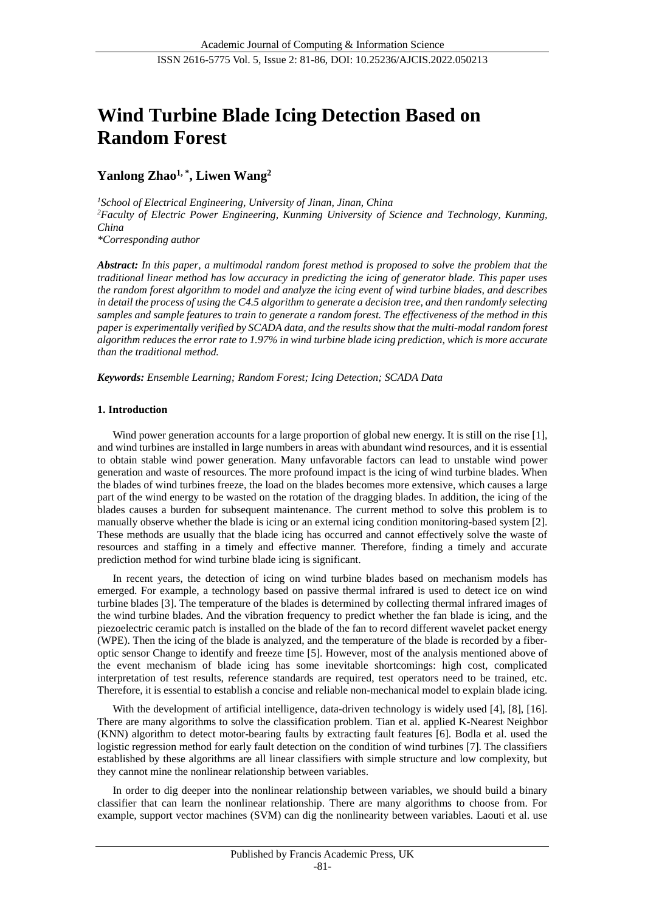# **Wind Turbine Blade Icing Detection Based on Random Forest**

## **Yanlong Zhao1, \* , Liwen Wang<sup>2</sup>**

*<sup>1</sup>School of Electrical Engineering, University of Jinan, Jinan, China <sup>2</sup>Faculty of Electric Power Engineering, Kunming University of Science and Technology, Kunming, China \*Corresponding author*

*Abstract: In this paper, a multimodal random forest method is proposed to solve the problem that the traditional linear method has low accuracy in predicting the icing of generator blade. This paper uses the random forest algorithm to model and analyze the icing event of wind turbine blades, and describes in detail the process of using the C4.5 algorithm to generate a decision tree, and then randomly selecting samples and sample features to train to generate a random forest. The effectiveness of the method in this paper is experimentally verified by SCADA data, and the results show that the multi-modal random forest algorithm reduces the error rate to 1.97% in wind turbine blade icing prediction, which is more accurate than the traditional method.*

*Keywords: Ensemble Learning; Random Forest; Icing Detection; SCADA Data*

## **1. Introduction**

Wind power generation accounts for a large proportion of global new energy. It is still on the rise [1], and wind turbines are installed in large numbers in areas with abundant wind resources, and it is essential to obtain stable wind power generation. Many unfavorable factors can lead to unstable wind power generation and waste of resources. The more profound impact is the icing of wind turbine blades. When the blades of wind turbines freeze, the load on the blades becomes more extensive, which causes a large part of the wind energy to be wasted on the rotation of the dragging blades. In addition, the icing of the blades causes a burden for subsequent maintenance. The current method to solve this problem is to manually observe whether the blade is icing or an external icing condition monitoring-based system [2]. These methods are usually that the blade icing has occurred and cannot effectively solve the waste of resources and staffing in a timely and effective manner. Therefore, finding a timely and accurate prediction method for wind turbine blade icing is significant.

In recent years, the detection of icing on wind turbine blades based on mechanism models has emerged. For example, a technology based on passive thermal infrared is used to detect ice on wind turbine blades [3]. The temperature of the blades is determined by collecting thermal infrared images of the wind turbine blades. And the vibration frequency to predict whether the fan blade is icing, and the piezoelectric ceramic patch is installed on the blade of the fan to record different wavelet packet energy (WPE). Then the icing of the blade is analyzed, and the temperature of the blade is recorded by a fiberoptic sensor Change to identify and freeze time [5]. However, most of the analysis mentioned above of the event mechanism of blade icing has some inevitable shortcomings: high cost, complicated interpretation of test results, reference standards are required, test operators need to be trained, etc. Therefore, it is essential to establish a concise and reliable non-mechanical model to explain blade icing.

With the development of artificial intelligence, data-driven technology is widely used [4], [8], [16]. There are many algorithms to solve the classification problem. Tian et al. applied K-Nearest Neighbor (KNN) algorithm to detect motor-bearing faults by extracting fault features [6]. Bodla et al. used the logistic regression method for early fault detection on the condition of wind turbines [7]. The classifiers established by these algorithms are all linear classifiers with simple structure and low complexity, but they cannot mine the nonlinear relationship between variables.

In order to dig deeper into the nonlinear relationship between variables, we should build a binary classifier that can learn the nonlinear relationship. There are many algorithms to choose from. For example, support vector machines (SVM) can dig the nonlinearity between variables. Laouti et al. use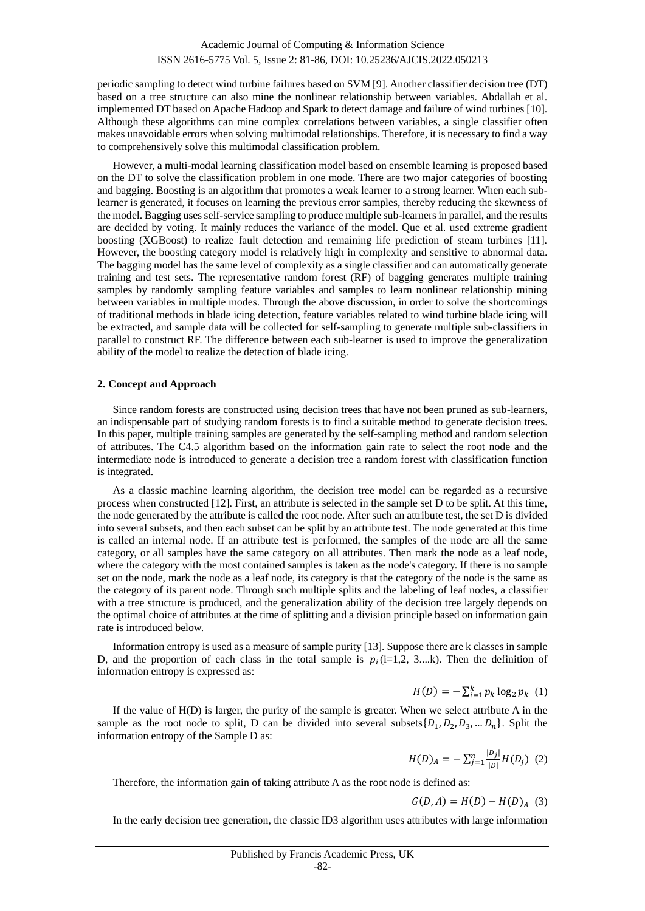## ISSN 2616-5775 Vol. 5, Issue 2: 81-86, DOI: 10.25236/AJCIS.2022.050213

periodic sampling to detect wind turbine failures based on SVM [9]. Another classifier decision tree (DT) based on a tree structure can also mine the nonlinear relationship between variables. Abdallah et al. implemented DT based on Apache Hadoop and Spark to detect damage and failure of wind turbines [10]. Although these algorithms can mine complex correlations between variables, a single classifier often makes unavoidable errors when solving multimodal relationships. Therefore, it is necessary to find a way to comprehensively solve this multimodal classification problem.

However, a multi-modal learning classification model based on ensemble learning is proposed based on the DT to solve the classification problem in one mode. There are two major categories of boosting and bagging. Boosting is an algorithm that promotes a weak learner to a strong learner. When each sublearner is generated, it focuses on learning the previous error samples, thereby reducing the skewness of the model. Bagging uses self-service sampling to produce multiple sub-learners in parallel, and the results are decided by voting. It mainly reduces the variance of the model. Que et al. used extreme gradient boosting (XGBoost) to realize fault detection and remaining life prediction of steam turbines [11]. However, the boosting category model is relatively high in complexity and sensitive to abnormal data. The bagging model has the same level of complexity as a single classifier and can automatically generate training and test sets. The representative random forest (RF) of bagging generates multiple training samples by randomly sampling feature variables and samples to learn nonlinear relationship mining between variables in multiple modes. Through the above discussion, in order to solve the shortcomings of traditional methods in blade icing detection, feature variables related to wind turbine blade icing will be extracted, and sample data will be collected for self-sampling to generate multiple sub-classifiers in parallel to construct RF. The difference between each sub-learner is used to improve the generalization ability of the model to realize the detection of blade icing.

#### **2. Concept and Approach**

Since random forests are constructed using decision trees that have not been pruned as sub-learners, an indispensable part of studying random forests is to find a suitable method to generate decision trees. In this paper, multiple training samples are generated by the self-sampling method and random selection of attributes. The C4.5 algorithm based on the information gain rate to select the root node and the intermediate node is introduced to generate a decision tree a random forest with classification function is integrated.

As a classic machine learning algorithm, the decision tree model can be regarded as a recursive process when constructed [12]. First, an attribute is selected in the sample set D to be split. At this time, the node generated by the attribute is called the root node. After such an attribute test, the set D is divided into several subsets, and then each subset can be split by an attribute test. The node generated at this time is called an internal node. If an attribute test is performed, the samples of the node are all the same category, or all samples have the same category on all attributes. Then mark the node as a leaf node, where the category with the most contained samples is taken as the node's category. If there is no sample set on the node, mark the node as a leaf node, its category is that the category of the node is the same as the category of its parent node. Through such multiple splits and the labeling of leaf nodes, a classifier with a tree structure is produced, and the generalization ability of the decision tree largely depends on the optimal choice of attributes at the time of splitting and a division principle based on information gain rate is introduced below.

Information entropy is used as a measure of sample purity [13]. Suppose there are k classes in sample D, and the proportion of each class in the total sample is  $p_i$  (i=1,2, 3...,k). Then the definition of information entropy is expressed as:

$$
H(D) = -\sum_{i=1}^{k} p_k \log_2 p_k \quad (1)
$$

If the value of H(D) is larger, the purity of the sample is greater. When we select attribute A in the sample as the root node to split, D can be divided into several subsets  $\{D_1, D_2, D_3, ... D_n\}$ . Split the information entropy of the Sample D as:

$$
H(D)_{A} = -\sum_{j=1}^{n} \frac{|D_j|}{|D|} H(D_j) \tag{2}
$$

Therefore, the information gain of taking attribute A as the root node is defined as:

$$
G(D, A) = H(D) - H(D)_{A} (3)
$$

In the early decision tree generation, the classic ID3 algorithm uses attributes with large information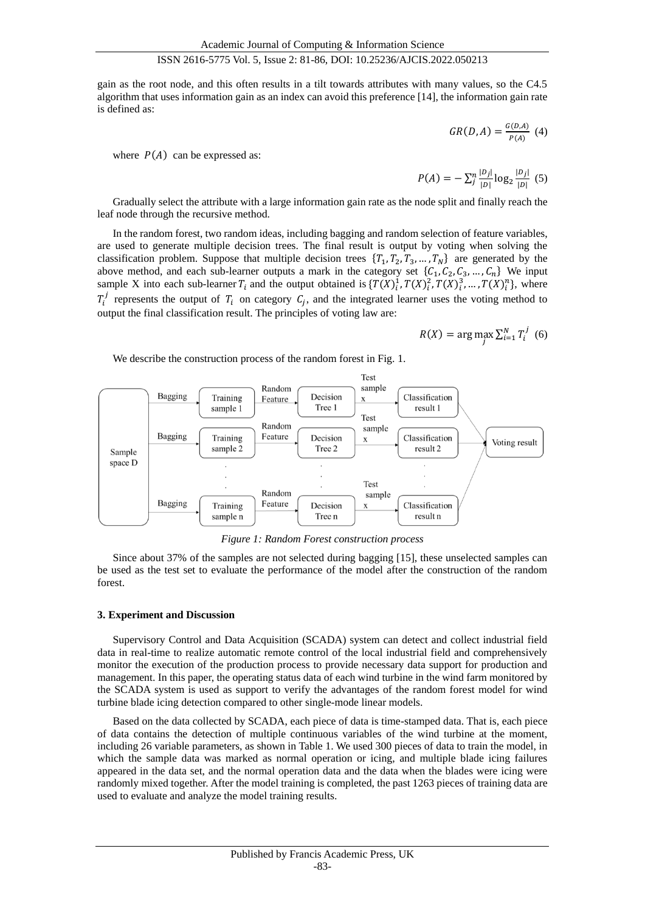#### ISSN 2616-5775 Vol. 5, Issue 2: 81-86, DOI: 10.25236/AJCIS.2022.050213

gain as the root node, and this often results in a tilt towards attributes with many values, so the C4.5 algorithm that uses information gain as an index can avoid this preference [14], the information gain rate is defined as:

$$
GR(D, A) = \frac{G(D, A)}{P(A)} \tag{4}
$$

where  $P(A)$  can be expressed as:

$$
P(A) = -\sum_{j}^{n} \frac{|D_j|}{|D|} \log_2 \frac{|D_j|}{|D|} (5)
$$

Gradually select the attribute with a large information gain rate as the node split and finally reach the leaf node through the recursive method.

In the random forest, two random ideas, including bagging and random selection of feature variables, are used to generate multiple decision trees. The final result is output by voting when solving the classification problem. Suppose that multiple decision trees  $\{T_1, T_2, T_3, ..., T_N\}$  are generated by the above method, and each sub-learner outputs a mark in the category set  $\{C_1, C_2, C_3, ..., C_n\}$  We input sample X into each sub-learner  $T_i$  and the output obtained is  $\{T(X)_i^1, T(X)_i^2, T(X)_i^3, ..., T(X)_i^n\}$ , where  $T_i^j$  represents the output of  $T_i$  on category  $C_j$ , and the integrated learner uses the voting method to output the final classification result. The principles of voting law are:

$$
R(X) = \arg\max_{j} \sum_{i=1}^{N} T_i^j \tag{6}
$$

We describe the construction process of the random forest in Fig. 1.



*Figure 1: Random Forest construction process*

Since about 37% of the samples are not selected during bagging [15], these unselected samples can be used as the test set to evaluate the performance of the model after the construction of the random forest.

#### **3. Experiment and Discussion**

Supervisory Control and Data Acquisition (SCADA) system can detect and collect industrial field data in real-time to realize automatic remote control of the local industrial field and comprehensively monitor the execution of the production process to provide necessary data support for production and management. In this paper, the operating status data of each wind turbine in the wind farm monitored by the SCADA system is used as support to verify the advantages of the random forest model for wind turbine blade icing detection compared to other single-mode linear models.

Based on the data collected by SCADA, each piece of data is time-stamped data. That is, each piece of data contains the detection of multiple continuous variables of the wind turbine at the moment, including 26 variable parameters, as shown in Table 1. We used 300 pieces of data to train the model, in which the sample data was marked as normal operation or icing, and multiple blade icing failures appeared in the data set, and the normal operation data and the data when the blades were icing were randomly mixed together. After the model training is completed, the past 1263 pieces of training data are used to evaluate and analyze the model training results.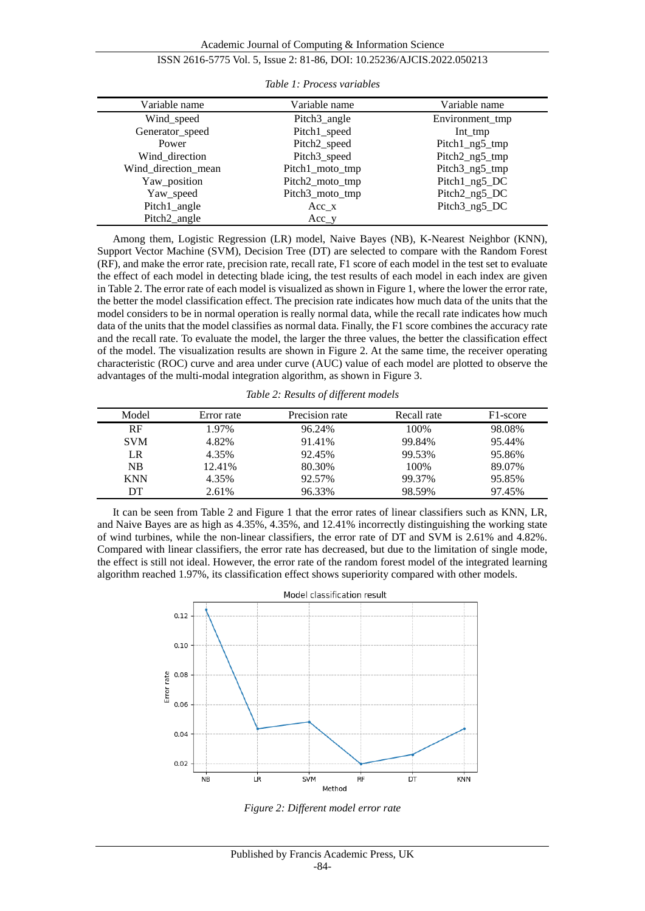Academic Journal of Computing & Information Science

## ISSN 2616-5775 Vol. 5, Issue 2: 81-86, DOI: 10.25236/AJCIS.2022.050213

| Variable name       | Variable name            | Variable name   |  |
|---------------------|--------------------------|-----------------|--|
| Wind_speed          | Pitch3_angle             | Environment_tmp |  |
| Generator_speed     | Pitch1_speed             | $Int_{mp}$      |  |
| Power               | Pitch <sub>2_speed</sub> | Pitch1_ng5_tmp  |  |
| Wind direction      | Pitch3_speed             | Pitch2_ng5_tmp  |  |
| Wind_direction_mean | Pitch1_moto_tmp          | Pitch3_ng5_tmp  |  |
| Yaw_position        | Pitch2_moto_tmp          | Pitch1_ng5_DC   |  |
| Yaw_speed           | Pitch3_moto_tmp          | Pitch2_ng5_DC   |  |
| Pitch1_angle        | Acc x                    | Pitch3_ng5_DC   |  |
| Pitch2_angle        | Acc y                    |                 |  |

*Table 1: Process variables*

Among them, Logistic Regression (LR) model, Naive Bayes (NB), K-Nearest Neighbor (KNN), Support Vector Machine (SVM), Decision Tree (DT) are selected to compare with the Random Forest (RF), and make the error rate, precision rate, recall rate, F1 score of each model in the test set to evaluate the effect of each model in detecting blade icing, the test results of each model in each index are given in Table 2. The error rate of each model is visualized as shown in Figure 1, where the lower the error rate, the better the model classification effect. The precision rate indicates how much data of the units that the model considers to be in normal operation is really normal data, while the recall rate indicates how much data of the units that the model classifies as normal data. Finally, the F1 score combines the accuracy rate and the recall rate. To evaluate the model, the larger the three values, the better the classification effect of the model. The visualization results are shown in Figure 2. At the same time, the receiver operating characteristic (ROC) curve and area under curve (AUC) value of each model are plotted to observe the advantages of the multi-modal integration algorithm, as shown in Figure 3.

*Table 2: Results of different models*

| Model      | Error rate | Precision rate | Recall rate | F1-score |
|------------|------------|----------------|-------------|----------|
| RF         | 1.97%      | 96.24%         | 100%        | 98.08%   |
| <b>SVM</b> | 4.82%      | 91.41%         | 99.84%      | 95.44%   |
| LR         | 4.35%      | 92.45%         | 99.53%      | 95.86%   |
| <b>NB</b>  | 12.41%     | 80.30%         | 100%        | 89.07%   |
| <b>KNN</b> | 4.35%      | 92.57%         | 99.37%      | 95.85%   |
| DT         | 2.61%      | 96.33%         | 98.59%      | 97.45%   |

It can be seen from Table 2 and Figure 1 that the error rates of linear classifiers such as KNN, LR, and Naive Bayes are as high as 4.35%, 4.35%, and 12.41% incorrectly distinguishing the working state of wind turbines, while the non-linear classifiers, the error rate of DT and SVM is 2.61% and 4.82%. Compared with linear classifiers, the error rate has decreased, but due to the limitation of single mode, the effect is still not ideal. However, the error rate of the random forest model of the integrated learning algorithm reached 1.97%, its classification effect shows superiority compared with other models.



*Figure 2: Different model error rate*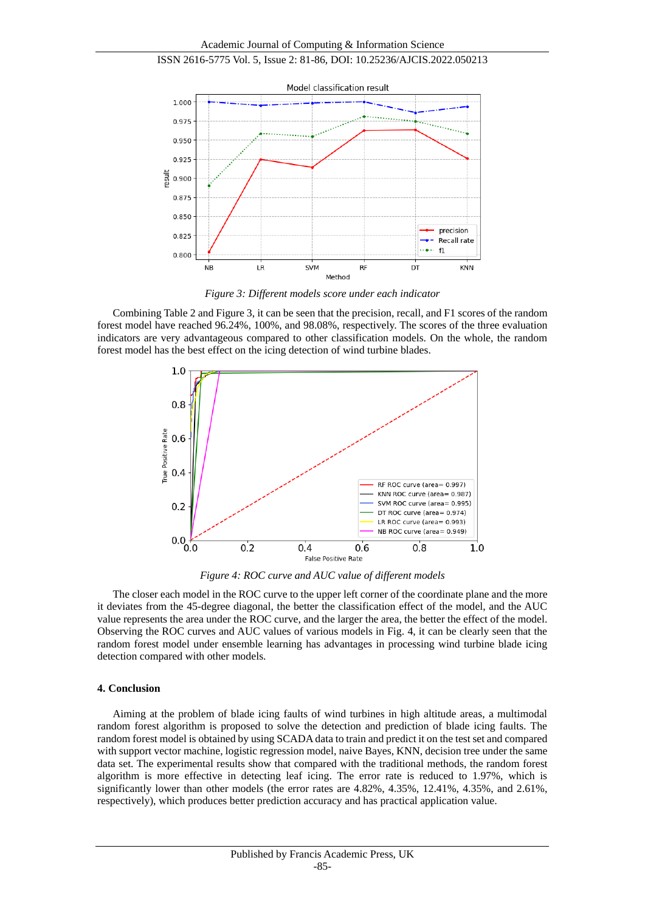



*Figure 3: Different models score under each indicator*

Combining Table 2 and Figure 3, it can be seen that the precision, recall, and F1 scores of the random forest model have reached 96.24%, 100%, and 98.08%, respectively. The scores of the three evaluation indicators are very advantageous compared to other classification models. On the whole, the random forest model has the best effect on the icing detection of wind turbine blades.



*Figure 4: ROC curve and AUC value of different models*

The closer each model in the ROC curve to the upper left corner of the coordinate plane and the more it deviates from the 45-degree diagonal, the better the classification effect of the model, and the AUC value represents the area under the ROC curve, and the larger the area, the better the effect of the model. Observing the ROC curves and AUC values of various models in Fig. 4, it can be clearly seen that the random forest model under ensemble learning has advantages in processing wind turbine blade icing detection compared with other models.

#### **4. Conclusion**

Aiming at the problem of blade icing faults of wind turbines in high altitude areas, a multimodal random forest algorithm is proposed to solve the detection and prediction of blade icing faults. The random forest model is obtained by using SCADA data to train and predict it on the test set and compared with support vector machine, logistic regression model, naive Bayes, KNN, decision tree under the same data set. The experimental results show that compared with the traditional methods, the random forest algorithm is more effective in detecting leaf icing. The error rate is reduced to 1.97%, which is significantly lower than other models (the error rates are 4.82%, 4.35%, 12.41%, 4.35%, and 2.61%, respectively), which produces better prediction accuracy and has practical application value.